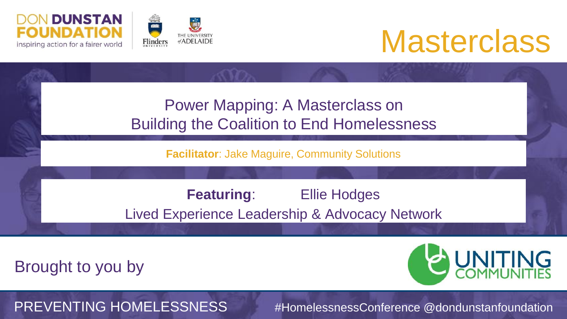



## **Masterclass**

| <b>Power Mapping: A Masterclass on</b><br><b>Building the Coalition to End Homelessness</b> |  |  |  |  |  |  |
|---------------------------------------------------------------------------------------------|--|--|--|--|--|--|
| <b>Facilitator: Jake Maguire, Community Solutions</b>                                       |  |  |  |  |  |  |
| <b>Featuring:</b><br><b>Ellie Hodges</b>                                                    |  |  |  |  |  |  |
| Lived Experience Leadership & Advocacy Network                                              |  |  |  |  |  |  |

Brought to you by

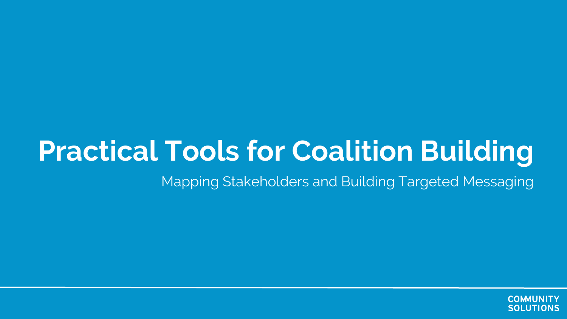## **Practical Tools for Coalition Building**

Mapping Stakeholders and Building Targeted Messaging

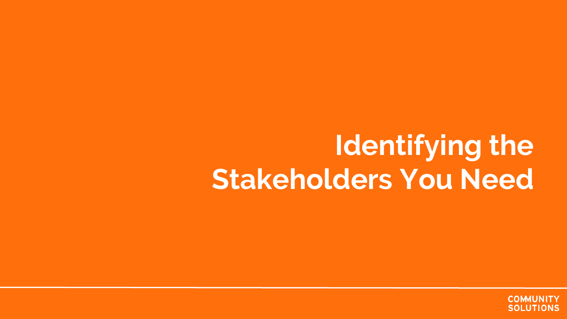## **Identifying the Stakeholders You Need**

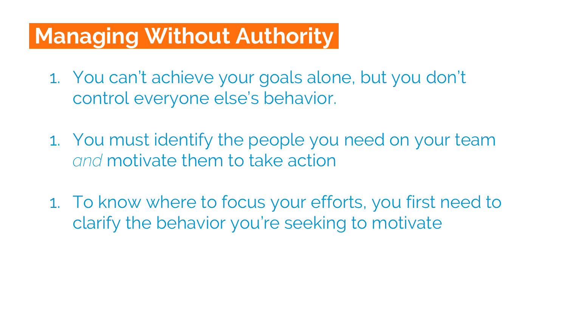#### **Managing Without Authority.**

- 1. You can't achieve your goals alone, but you don't control everyone else's behavior.
- 1. You must identify the people you need on your team *and* motivate them to take action
- 1. To know where to focus your efforts, you first need to clarify the behavior you're seeking to motivate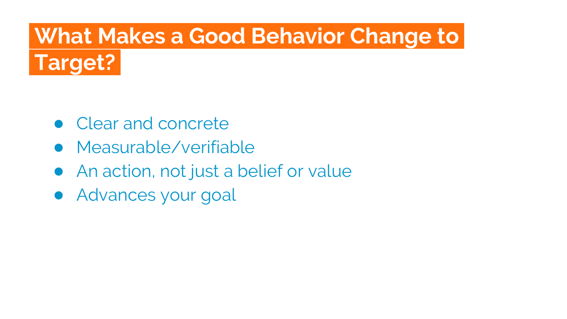## **What Makes a Good Behavior Change to.**



- Clear and concrete
- Measurable/verifiable
- An action, not just a belief or value
- Advances your goal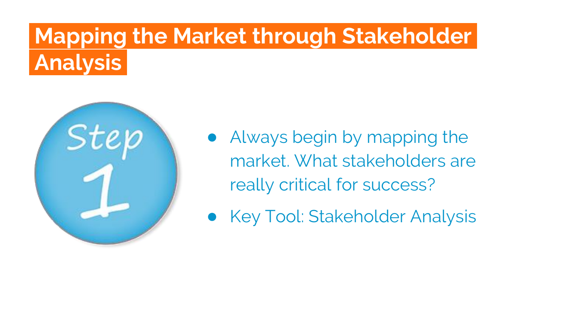## **Mapping the Market through Stakeholder. Analysis.**



- Always begin by mapping the market. What stakeholders are really critical for success?
- Key Tool: Stakeholder Analysis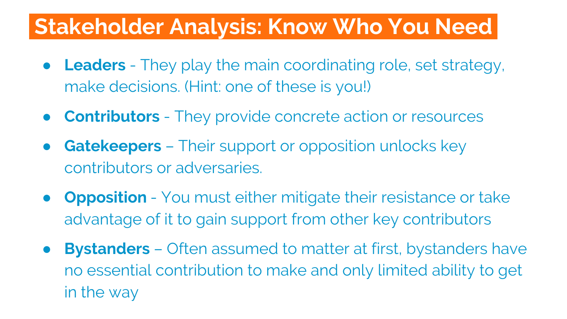#### **Stakeholder Analysis: Know Who You Need.**

- **Leaders** They play the main coordinating role, set strategy, make decisions. (Hint: one of these is you!)
- **Contributors** They provide concrete action or resources
- **Gatekeepers** Their support or opposition unlocks key contributors or adversaries.
- **Opposition** You must either mitigate their resistance or take advantage of it to gain support from other key contributors
- **Bystanders** Often assumed to matter at first, bystanders have no essential contribution to make and only limited ability to get in the way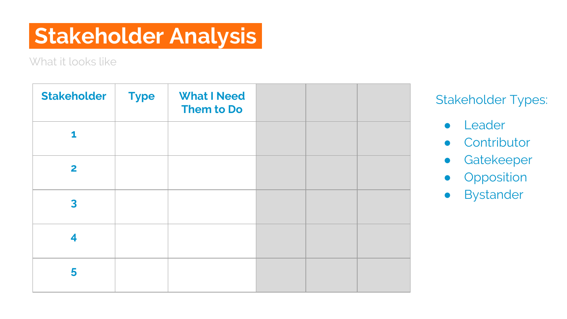#### **Stakeholder Analysis.**

What it looks like

| <b>Stakeholder</b>      | <b>Type</b> | <b>What I Need</b><br>Them to Do |  |  |
|-------------------------|-------------|----------------------------------|--|--|
| 1                       |             |                                  |  |  |
| $\overline{\mathbf{2}}$ |             |                                  |  |  |
| 3                       |             |                                  |  |  |
| 4                       |             |                                  |  |  |
| 5                       |             |                                  |  |  |

Stakeholder Types:

- Leader
- Contributor
- Gatekeeper
- **•** Opposition
- Bystander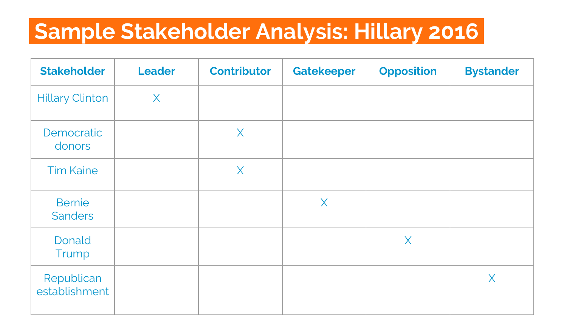#### **Sample Stakeholder Analysis: Hillary 2016.**

| <b>Stakeholder</b>              | <b>Leader</b> | <b>Contributor</b> | <b>Gatekeeper</b> | <b>Opposition</b> | <b>Bystander</b> |
|---------------------------------|---------------|--------------------|-------------------|-------------------|------------------|
| <b>Hillary Clinton</b>          | $\sf X$       |                    |                   |                   |                  |
| Democratic<br>donors            |               | $\sf X$            |                   |                   |                  |
| <b>Tim Kaine</b>                |               | $\sf X$            |                   |                   |                  |
| <b>Bernie</b><br><b>Sanders</b> |               |                    | $\times$          |                   |                  |
| Donald<br>Trump                 |               |                    |                   | $\sf X$           |                  |
| Republican<br>establishment     |               |                    |                   |                   | $\times$         |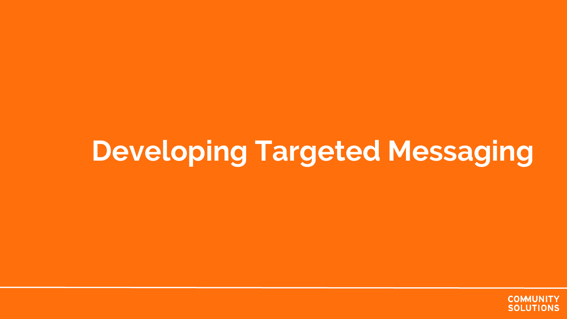## **Developing Targeted Messaging**

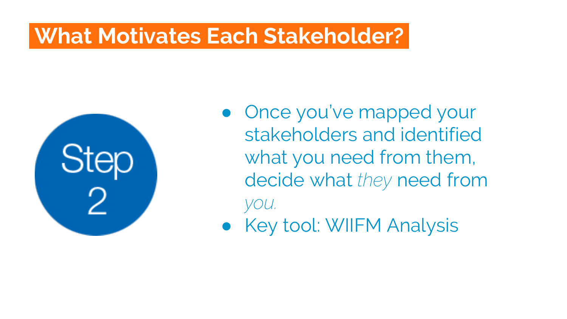#### **What Motivates Each Stakeholder?.**



• Once you've mapped your stakeholders and identified what you need from them, decide what *they* need from *you.*

● Key tool: WIIFM Analysis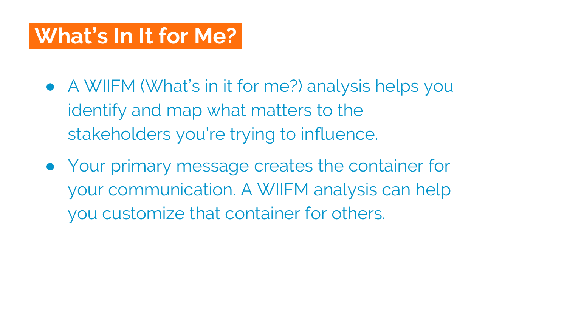#### **What's In It for Me?.**

- A WIIFM (What's in it for me?) analysis helps you identify and map what matters to the stakeholders you're trying to influence.
- Your primary message creates the container for your communication. A WIIFM analysis can help you customize that container for others.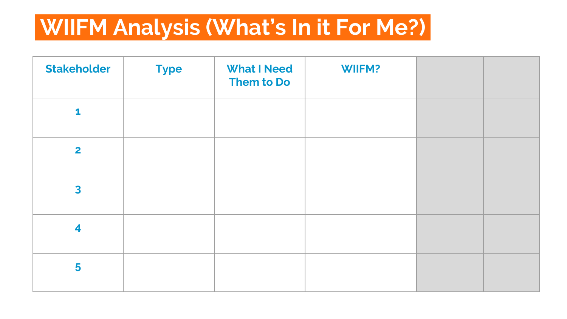#### **WIIFM Analysis (What's In it For Me?).**

| <b>Stakeholder</b>      | <b>Type</b> | <b>What I Need</b><br>Them to Do | <b>WIIFM?</b> |  |
|-------------------------|-------------|----------------------------------|---------------|--|
| $\mathbf{1}$            |             |                                  |               |  |
| $\overline{2}$          |             |                                  |               |  |
| $\overline{\mathbf{3}}$ |             |                                  |               |  |
| $\overline{\mathbf{4}}$ |             |                                  |               |  |
| 5                       |             |                                  |               |  |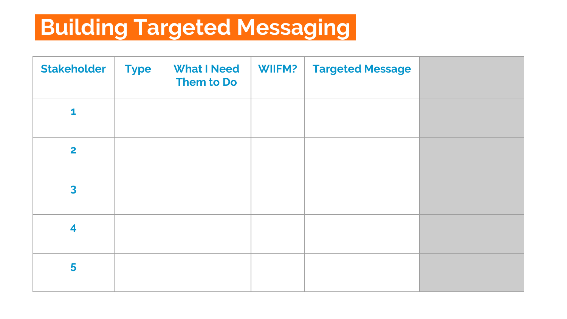#### **Building Targeted Messaging.**

| <b>Stakeholder</b>      | <b>Type</b> | <b>What I Need</b><br>Them to Do | <b>WIIFM?</b> | <b>Targeted Message</b> |  |
|-------------------------|-------------|----------------------------------|---------------|-------------------------|--|
| 1                       |             |                                  |               |                         |  |
| $\overline{\mathbf{2}}$ |             |                                  |               |                         |  |
| $\overline{\mathbf{3}}$ |             |                                  |               |                         |  |
| $\overline{\mathbf{4}}$ |             |                                  |               |                         |  |
| 5                       |             |                                  |               |                         |  |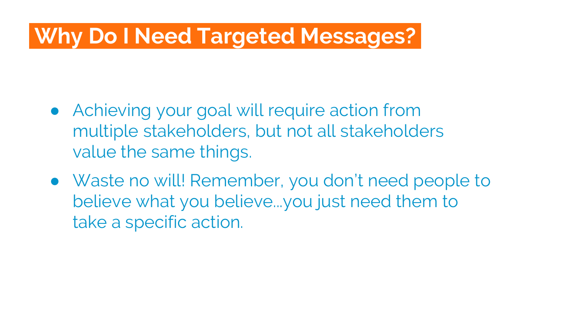#### **Why Do I Need Targeted Messages?.**

- Achieving your goal will require action from multiple stakeholders, but not all stakeholders value the same things.
- Waste no will! Remember, you don't need people to believe what you believe...you just need them to take a specific action.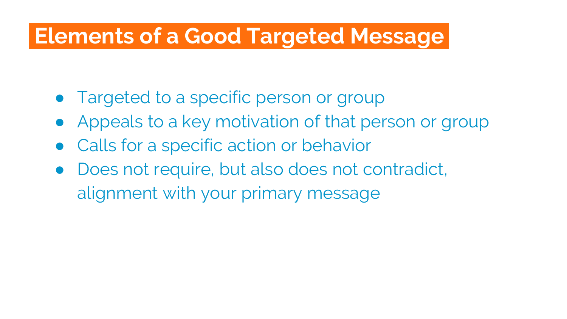#### **Elements of a Good Targeted Message.**

- Targeted to a specific person or group
- Appeals to a key motivation of that person or group
- Calls for a specific action or behavior
- Does not require, but also does not contradict, alignment with your primary message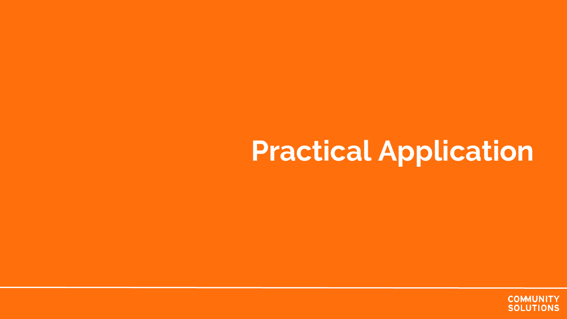## **Practical Application**

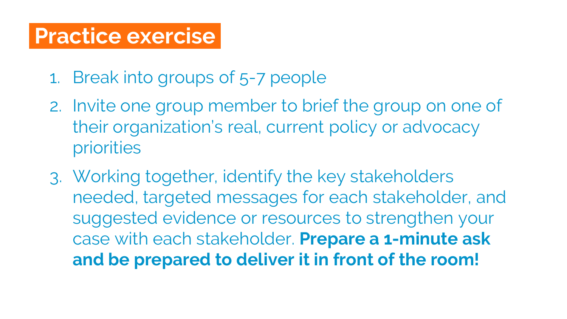#### **Practice exercise.**

- 1. Break into groups of 5-7 people
- 2. Invite one group member to brief the group on one of their organization's real, current policy or advocacy priorities
- 3. Working together, identify the key stakeholders needed, targeted messages for each stakeholder, and suggested evidence or resources to strengthen your case with each stakeholder. **Prepare a 1-minute ask and be prepared to deliver it in front of the room!**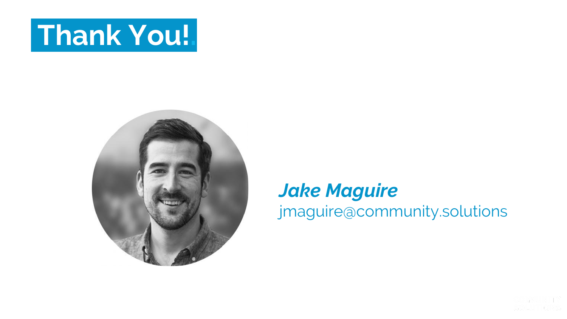## **Thank You!.**



#### *Jake Maguire*

jmaguire@community.solutions

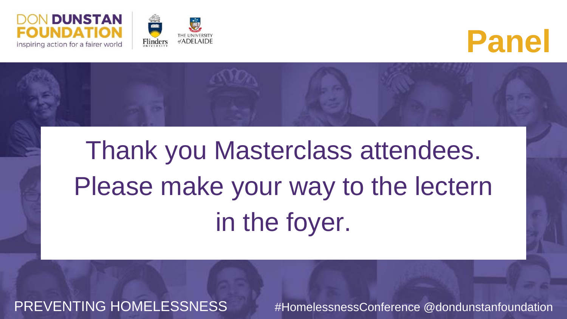





Please make your way to the lectern Thank you Masterclass attendees. in the foyer.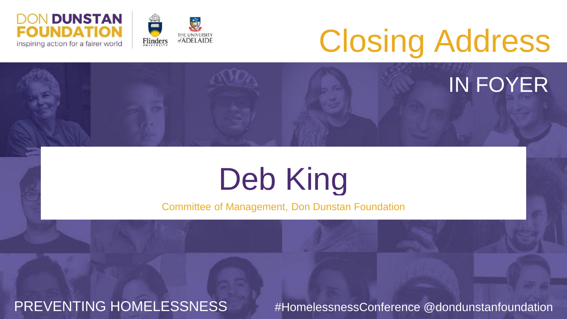



# Closing Address

#### IN FOYER

## Deb King

Committee of Management, Don Dunstan Foundation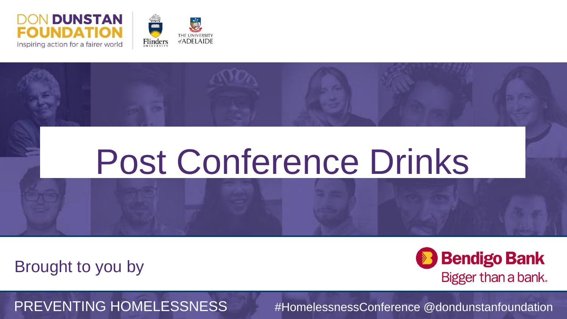



#### Click to edit Master subtitle style Post Conference Drinks

Brought to you by